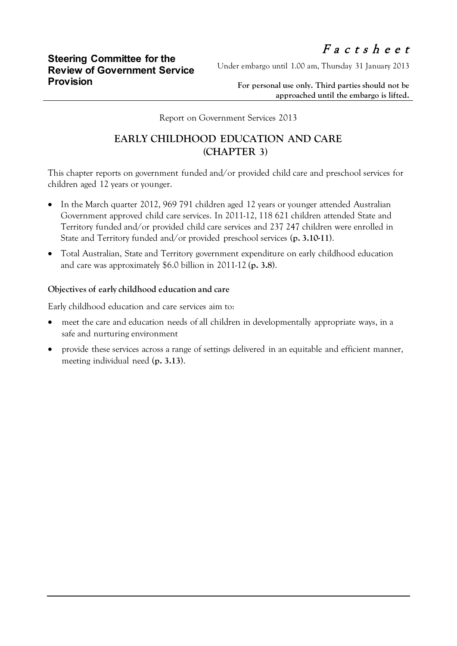Under embargo until 1.00 am, Thursday 31 January 2013

**For personal use only. Third parties should not be approached until the embargo is lifted.**

Report on Government Services 2013

## **EARLY CHILDHOOD EDUCATION AND CARE (CHAPTER 3)**

This chapter reports on government funded and/or provided child care and preschool services for children aged 12 years or younger.

- In the March quarter 2012, 969 791 children aged 12 years or younger attended Australian Government approved child care services. In 2011-12, 118 621 children attended State and Territory funded and/or provided child care services and 237 247 children were enrolled in State and Territory funded and/or provided preschool services (**p. 3.10-11**).
- Total Australian, State and Territory government expenditure on early childhood education and care was approximately \$6.0 billion in 2011-12 (**p. 3.8**).

## **Objectives of early childhood education and care**

Early childhood education and care services aim to:

- meet the care and education needs of all children in developmentally appropriate ways, in a safe and nurturing environment
- provide these services across a range of settings delivered in an equitable and efficient manner, meeting individual need (**p. 3.13**).